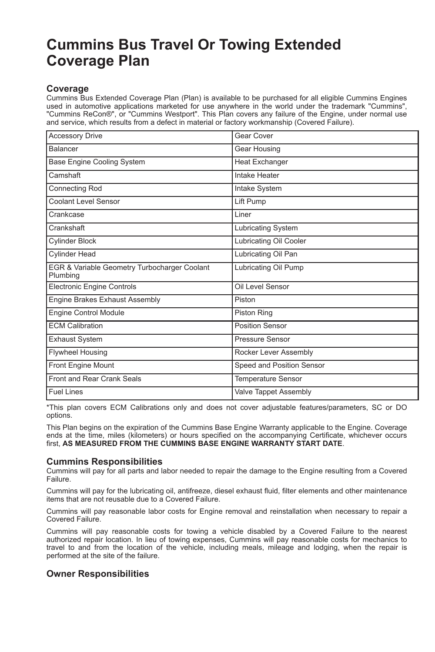# **Cummins Bus Travel Or Towing Extended Coverage Plan**

# **Coverage**

Cummins Bus Extended Coverage Plan (Plan) is available to be purchased for all eligible Cummins Engines used in automotive applications marketed for use anywhere in the world under the trademark "Cummins", "Cummins ReCon®", or "Cummins Westport". This Plan covers any failure of the Engine, under normal use and service, which results from a defect in material or factory workmanship (Covered Failure).

| <b>Accessory Drive</b>                                   | Gear Cover                   |
|----------------------------------------------------------|------------------------------|
| <b>Balancer</b>                                          | Gear Housing                 |
| Base Engine Cooling System                               | <b>Heat Exchanger</b>        |
| Camshaft                                                 | Intake Heater                |
| <b>Connecting Rod</b>                                    | Intake System                |
| <b>Coolant Level Sensor</b>                              | Lift Pump                    |
| Crankcase                                                | Liner                        |
| Crankshaft                                               | <b>Lubricating System</b>    |
| <b>Cylinder Block</b>                                    | Lubricating Oil Cooler       |
| <b>Cylinder Head</b>                                     | Lubricating Oil Pan          |
| EGR & Variable Geometry Turbocharger Coolant<br>Plumbing | Lubricating Oil Pump         |
| <b>Electronic Engine Controls</b>                        | Oil Level Sensor             |
| Engine Brakes Exhaust Assembly                           | Piston                       |
| Engine Control Module                                    | Piston Ring                  |
| <b>ECM Calibration</b>                                   | <b>Position Sensor</b>       |
| Exhaust System                                           | Pressure Sensor              |
| Flywheel Housing                                         | Rocker Lever Assembly        |
| Front Engine Mount                                       | Speed and Position Sensor    |
| <b>Front and Rear Crank Seals</b>                        | Temperature Sensor           |
| <b>Fuel Lines</b>                                        | <b>Valve Tappet Assembly</b> |

\*This plan covers ECM Calibrations only and does not cover adjustable features/parameters, SC or DO options.

This Plan begins on the expiration of the Cummins Base Engine Warranty applicable to the Engine. Coverage ends at the time, miles (kilometers) or hours specified on the accompanying Certificate, whichever occurs first, **AS MEASURED FROM THE CUMMINS BASE ENGINE WARRANTY START DATE**.

#### **Cummins Responsibilities**

Cummins will pay for all parts and labor needed to repair the damage to the Engine resulting from a Covered Failure.

Cummins will pay for the lubricating oil, antifreeze, diesel exhaust fluid, filter elements and other maintenance items that are not reusable due to a Covered Failure.

Cummins will pay reasonable labor costs for Engine removal and reinstallation when necessary to repair a Covered Failure.

Cummins will pay reasonable costs for towing a vehicle disabled by a Covered Failure to the nearest authorized repair location. In lieu of towing expenses, Cummins will pay reasonable costs for mechanics to travel to and from the location of the vehicle, including meals, mileage and lodging, when the repair is performed at the site of the failure.

## **Owner Responsibilities**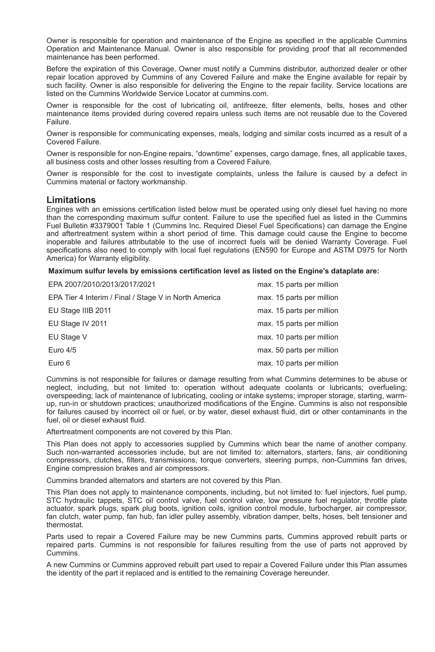Owner is responsible for operation and maintenance of the Engine as specified in the applicable Cummins Operation and Maintenance Manual. Owner is also responsible for providing proof that all recommended maintenance has been performed.

Before the expiration of this Coverage, Owner must notify a Cummins distributor, authorized dealer or other repair location approved by Cummins of any Covered Failure and make the Engine available for repair by such facility. Owner is also responsible for delivering the Engine to the repair facility. Service locations are listed on the Cummins Worldwide Service Locator at cummins.com.

Owner is responsible for the cost of lubricating oil, antifreeze, filter elements, belts, hoses and other maintenance items provided during covered repairs unless such items are not reusable due to the Covered Failure.

Owner is responsible for communicating expenses, meals, lodging and similar costs incurred as a result of a Covered Failure.

Owner is responsible for non-Engine repairs, "downtime" expenses, cargo damage, fines, all applicable taxes, all business costs and other losses resulting from a Covered Failure.

Owner is responsible for the cost to investigate complaints, unless the failure is caused by a defect in Cummins material or factory workmanship.

### **Limitations**

Engines with an emissions certification listed below must be operated using only diesel fuel having no more than the corresponding maximum sulfur content. Failure to use the specified fuel as listed in the Cummins Fuel Bulletin #3379001 Table 1 (Cummins Inc. Required Diesel Fuel Specifications) can damage the Engine and aftertreatment system within a short period of time. This damage could cause the Engine to become inoperable and failures attributable to the use of incorrect fuels will be denied Warranty Coverage. Fuel specifications also need to comply with local fuel regulations (EN590 for Europe and ASTM D975 for North America) for Warranty eligibility.

**Maximum sulfur levels by emissions certification level as listed on the Engine's dataplate are:**

| EPA 2007/2010/2013/2017/2021                          | max. 15 parts per million |
|-------------------------------------------------------|---------------------------|
| EPA Tier 4 Interim / Final / Stage V in North America | max. 15 parts per million |
| EU Stage IIIB 2011                                    | max. 15 parts per million |
| EU Stage IV 2011                                      | max. 15 parts per million |
| EU Stage V                                            | max. 10 parts per million |
| Euro 4/5                                              | max. 50 parts per million |
| Euro 6                                                | max. 10 parts per million |

Cummins is not responsible for failures or damage resulting from what Cummins determines to be abuse or neglect, including, but not limited to: operation without adequate coolants or lubricants; overfueling; overspeeding; lack of maintenance of lubricating, cooling or intake systems; improper storage, starting, warmup, run-in or shutdown practices; unauthorized modifications of the Engine. Cummins is also not responsible for failures caused by incorrect oil or fuel, or by water, diesel exhaust fluid, dirt or other contaminants in the fuel, oil or diesel exhaust fluid.

Aftertreatment components are not covered by this Plan.

This Plan does not apply to accessories supplied by Cummins which bear the name of another company. Such non-warranted accessories include, but are not limited to: alternators, starters, fans, air conditioning compressors, clutches, filters, transmissions, torque converters, steering pumps, non-Cummins fan drives, Engine compression brakes and air compressors.

Cummins branded alternators and starters are not covered by this Plan.

This Plan does not apply to maintenance components, including, but not limited to: fuel injectors, fuel pump, STC hydraulic tappets, STC oil control valve, fuel control valve, low pressure fuel regulator, throttle plate actuator, spark plugs, spark plug boots, ignition coils, ignition control module, turbocharger, air compressor, fan clutch, water pump, fan hub, fan idler pulley assembly, vibration damper, belts, hoses, belt tensioner and thermostat.

Parts used to repair a Covered Failure may be new Cummins parts, Cummins approved rebuilt parts or repaired parts. Cummins is not responsible for failures resulting from the use of parts not approved by Cummins.

A new Cummins or Cummins approved rebuilt part used to repair a Covered Failure under this Plan assumes the identity of the part it replaced and is entitled to the remaining Coverage hereunder.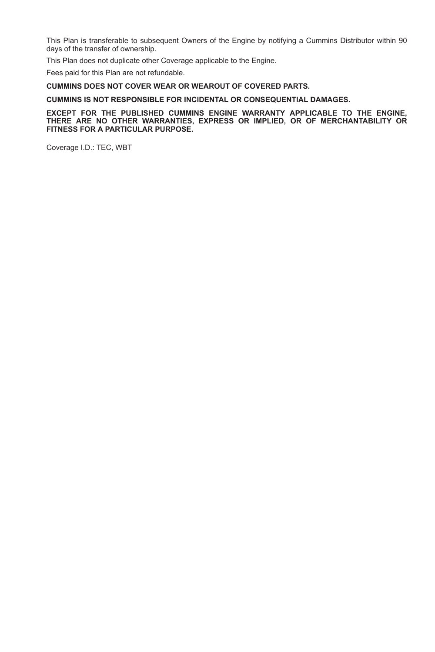This Plan is transferable to subsequent Owners of the Engine by notifying a Cummins Distributor within 90 days of the transfer of ownership.

This Plan does not duplicate other Coverage applicable to the Engine.

Fees paid for this Plan are not refundable.

#### **CUMMINS DOES NOT COVER WEAR OR WEAROUT OF COVERED PARTS.**

#### **CUMMINS IS NOT RESPONSIBLE FOR INCIDENTAL OR CONSEQUENTIAL DAMAGES.**

#### **EXCEPT FOR THE PUBLISHED CUMMINS ENGINE WARRANTY APPLICABLE TO THE ENGINE, THERE ARE NO OTHER WARRANTIES, EXPRESS OR IMPLIED, OR OF MERCHANTABILITY OR FITNESS FOR A PARTICULAR PURPOSE.**

Coverage I.D.: TEC, WBT